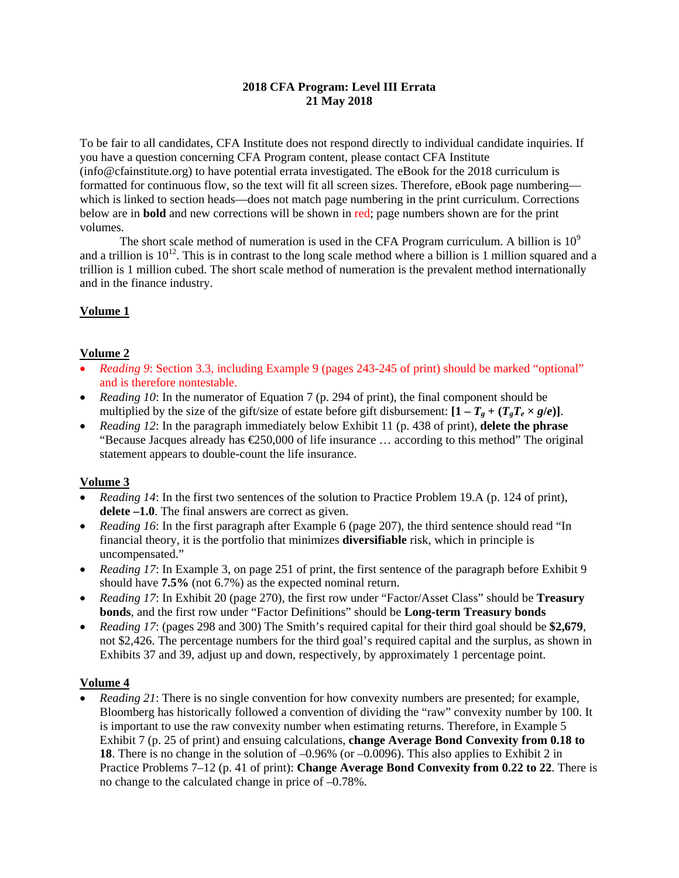### **2018 CFA Program: Level III Errata 21 May 2018**

To be fair to all candidates, CFA Institute does not respond directly to individual candidate inquiries. If you have a question concerning CFA Program content, please contact CFA Institute (info@cfainstitute.org) to have potential errata investigated. The eBook for the 2018 curriculum is formatted for continuous flow, so the text will fit all screen sizes. Therefore, eBook page numbering which is linked to section heads—does not match page numbering in the print curriculum. Corrections below are in **bold** and new corrections will be shown in red; page numbers shown are for the print volumes.

The short scale method of numeration is used in the CFA Program curriculum. A billion is  $10^9$ and a trillion is  $10^{12}$ . This is in contrast to the long scale method where a billion is 1 million squared and a trillion is 1 million cubed. The short scale method of numeration is the prevalent method internationally and in the finance industry.

# **Volume 1**

## **Volume 2**

- *Reading 9*: Section 3.3, including Example 9 (pages 243-245 of print) should be marked "optional" and is therefore nontestable.
- *Reading 10*: In the numerator of Equation 7 (p. 294 of print), the final component should be multiplied by the size of the gift/size of estate before gift disbursement:  $[1 - T_g + (T_gT_e \times g/e)].$
- *Reading 12*: In the paragraph immediately below Exhibit 11 (p. 438 of print), **delete the phrase** "Because Jacques already has  $\epsilon$ 250,000 of life insurance ... according to this method" The original statement appears to double-count the life insurance.

## **Volume 3**

- *Reading 14*: In the first two sentences of the solution to Practice Problem 19.A (p. 124 of print), **delete –1.0**. The final answers are correct as given.
- *Reading 16*: In the first paragraph after Example 6 (page 207), the third sentence should read "In financial theory, it is the portfolio that minimizes **diversifiable** risk, which in principle is uncompensated."
- *Reading 17*: In Example 3, on page 251 of print, the first sentence of the paragraph before Exhibit 9 should have **7.5%** (not 6.7%) as the expected nominal return.
- *Reading 17*: In Exhibit 20 (page 270), the first row under "Factor/Asset Class" should be **Treasury bonds**, and the first row under "Factor Definitions" should be **Long-term Treasury bonds**
- *Reading 17*: (pages 298 and 300) The Smith's required capital for their third goal should be **\$2,679**, not \$2,426. The percentage numbers for the third goal's required capital and the surplus, as shown in Exhibits 37 and 39, adjust up and down, respectively, by approximately 1 percentage point.

## **Volume 4**

 *Reading 21*: There is no single convention for how convexity numbers are presented; for example, Bloomberg has historically followed a convention of dividing the "raw" convexity number by 100. It is important to use the raw convexity number when estimating returns. Therefore, in Example 5 Exhibit 7 (p. 25 of print) and ensuing calculations, **change Average Bond Convexity from 0.18 to 18**. There is no change in the solution of –0.96% (or –0.0096). This also applies to Exhibit 2 in Practice Problems 7–12 (p. 41 of print): **Change Average Bond Convexity from 0.22 to 22**. There is no change to the calculated change in price of –0.78%.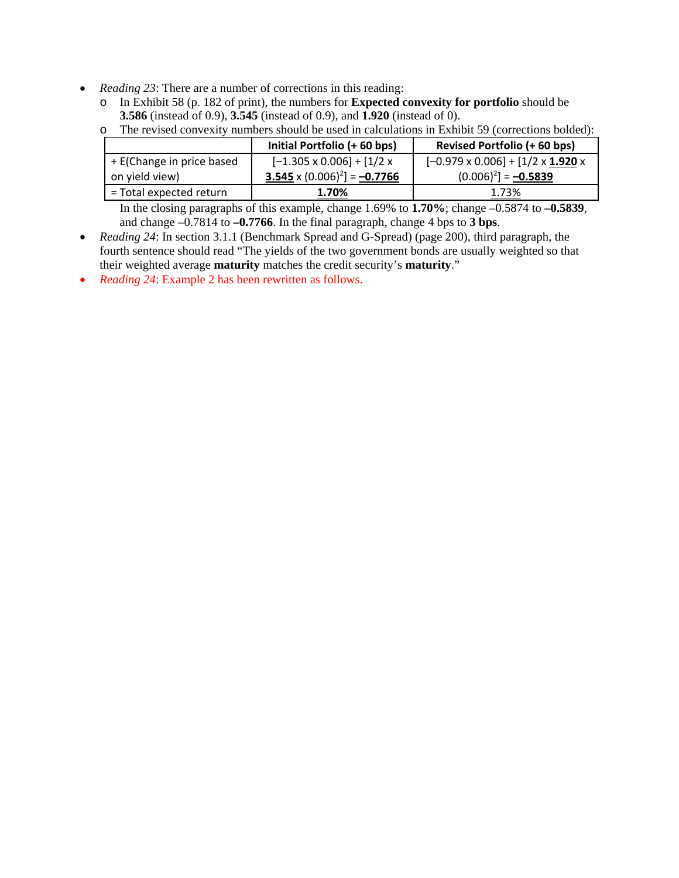- *Reading 23*: There are a number of corrections in this reading:
	- o In Exhibit 58 (p. 182 of print), the numbers for **Expected convexity for portfolio** should be **3.586** (instead of 0.9), **3.545** (instead of 0.9), and **1.920** (instead of 0).

o The revised convexity numbers should be used in calculations in Exhibit 59 (corrections bolded):

|                           | Initial Portfolio (+60 bps)           | Revised Portfolio (+60 bps)                        |  |  |
|---------------------------|---------------------------------------|----------------------------------------------------|--|--|
| + E(Change in price based | $[-1.305 \times 0.006] + [1/2 \times$ | $[-0.979 \times 0.006] + [1/2 \times 1.920 \times$ |  |  |
| on yield view)            | $3.545 \times (0.006)^2$ ] = -0.7766  | $(0.006)^2$ ] = -0.5839                            |  |  |
| = Total expected return   | 1.70%                                 | 1.73%                                              |  |  |

In the closing paragraphs of this example, change 1.69% to **1.70%**; change –0.5874 to **–0.5839**, and change –0.7814 to **–0.7766**. In the final paragraph, change 4 bps to **3 bps**.

- *Reading 24*: In section 3.1.1 (Benchmark Spread and G-Spread) (page 200), third paragraph, the fourth sentence should read "The yields of the two government bonds are usually weighted so that their weighted average **maturity** matches the credit security's **maturity**."
- *Reading 24*: Example 2 has been rewritten as follows.